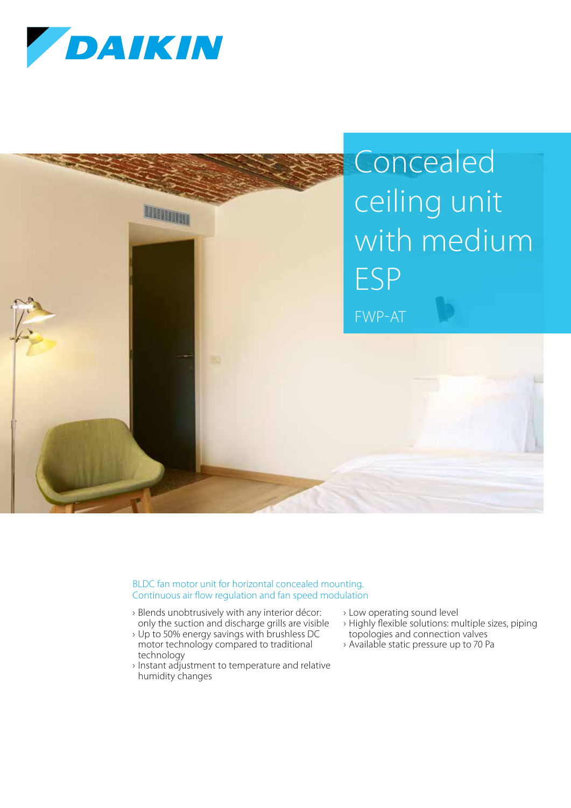



BLDC fan motor unit for horizontal concealed mounting. Continuous air flow regulation and fan speed modulation

- › Blends unobtrusively with any interior décor: only the suction and discharge grills are visible
- › Up to 50% energy savings with brushless DC motor technology compared to traditional technology
- › Instant adjustment to temperature and relative humidity changes
- › Low operating sound level
- › Highly flexible solutions: multiple sizes, piping topologies and connection valves
- › Available static pressure up to 70 Pa